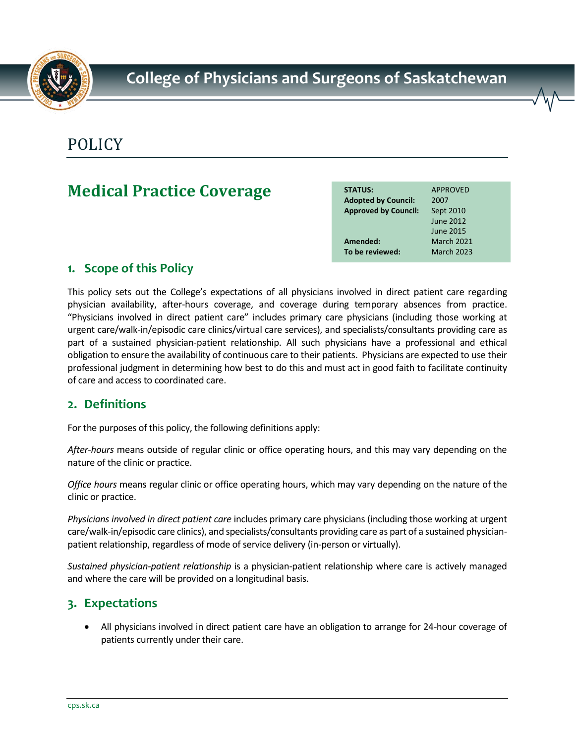

# POLICY

## **Medical Practice Coverage**

| <b>STATUS:</b>              | <b>APPROVED</b>   |
|-----------------------------|-------------------|
| <b>Adopted by Council:</b>  | 2007              |
| <b>Approved by Council:</b> | Sept 2010         |
|                             | June 2012         |
|                             | June 2015         |
| Amended:                    | <b>March 2021</b> |
| To be reviewed:             | <b>March 2023</b> |
|                             |                   |

## **1. Scope of this Policy**

This policy sets out the College's expectations of all physicians involved in direct patient care regarding physician availability, after-hours coverage, and coverage during temporary absences from practice. "Physicians involved in direct patient care" includes primary care physicians (including those working at urgent care/walk-in/episodic care clinics/virtual care services), and specialists/consultants providing care as part of a sustained physician-patient relationship. All such physicians have a professional and ethical obligation to ensure the availability of continuous care to their patients. Physicians are expected to use their professional judgment in determining how best to do this and must act in good faith to facilitate continuity of care and access to coordinated care.

### **2. Definitions**

For the purposes of this policy, the following definitions apply:

*After-hours* means outside of regular clinic or office operating hours, and this may vary depending on the nature of the clinic or practice.

*Office hours* means regular clinic or office operating hours, which may vary depending on the nature of the clinic or practice.

*Physicians involved in direct patient care* includes primary care physicians (including those working at urgent care/walk-in/episodic care clinics), and specialists/consultants providing care as part of a sustained physicianpatient relationship, regardless of mode of service delivery (in-person or virtually).

*Sustained physician-patient relationship* is a physician-patient relationship where care is actively managed and where the care will be provided on a longitudinal basis.

## **3. Expectations**

• All physicians involved in direct patient care have an obligation to arrange for 24-hour coverage of patients currently under their care.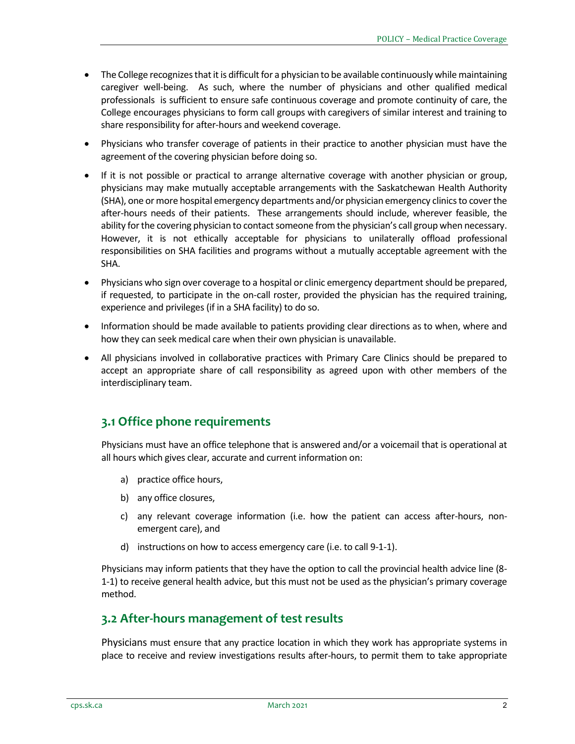- The College recognizes that it is difficult for a physician to be available continuously while maintaining caregiver well-being. As such, where the number of physicians and other qualified medical professionals is sufficient to ensure safe continuous coverage and promote continuity of care, the College encourages physicians to form call groups with caregivers of similar interest and training to share responsibility for after-hours and weekend coverage.
- Physicians who transfer coverage of patients in their practice to another physician must have the agreement of the covering physician before doing so.
- If it is not possible or practical to arrange alternative coverage with another physician or group, physicians may make mutually acceptable arrangements with the Saskatchewan Health Authority (SHA), one or more hospital emergency departments and/or physician emergency clinics to cover the after-hours needs of their patients. These arrangements should include, wherever feasible, the ability for the covering physician to contact someone from the physician's call group when necessary. However, it is not ethically acceptable for physicians to unilaterally offload professional responsibilities on SHA facilities and programs without a mutually acceptable agreement with the SHA.
- Physicians who sign over coverage to a hospital or clinic emergency department should be prepared, if requested, to participate in the on-call roster, provided the physician has the required training, experience and privileges (if in a SHA facility) to do so.
- Information should be made available to patients providing clear directions as to when, where and how they can seek medical care when their own physician is unavailable.
- All physicians involved in collaborative practices with Primary Care Clinics should be prepared to accept an appropriate share of call responsibility as agreed upon with other members of the interdisciplinary team.

#### **3.1 Office phone requirements**

Physicians must have an office telephone that is answered and/or a voicemail that is operational at all hours which gives clear, accurate and current information on:

- a) practice office hours,
- b) any office closures,
- c) any relevant coverage information (i.e. how the patient can access after-hours, nonemergent care), and
- d) instructions on how to access emergency care (i.e. to call 9-1-1).

Physicians may inform patients that they have the option to call the provincial health advice line (8- 1-1) to receive general health advice, but this must not be used as the physician's primary coverage method.

#### **3.2 After-hours management of test results**

Physicians must ensure that any practice location in which they work has appropriate systems in place to receive and review investigations results after-hours, to permit them to take appropriate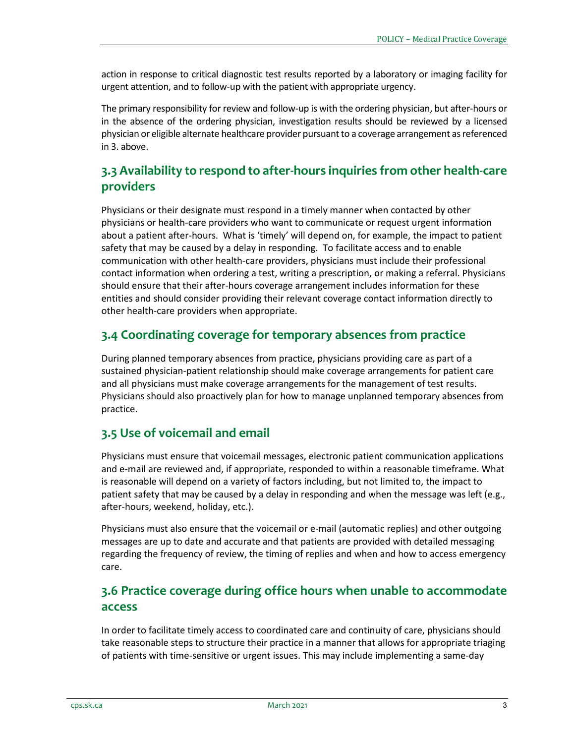action in response to critical diagnostic test results reported by a laboratory or imaging facility for urgent attention, and to follow-up with the patient with appropriate urgency.

The primary responsibility for review and follow-up is with the ordering physician, but after-hours or in the absence of the ordering physician, investigation results should be reviewed by a licensed physician or eligible alternate healthcare provider pursuant to a coverage arrangement as referenced in 3. above.

## **3.3 Availability to respond to after-hours inquiries from other health-care providers**

Physicians or their designate must respond in a timely manner when contacted by other physicians or health-care providers who want to communicate or request urgent information about a patient after-hours. What is 'timely' will depend on, for example, the impact to patient safety that may be caused by a delay in responding. To facilitate access and to enable communication with other health-care providers, physicians must include their professional contact information when ordering a test, writing a prescription, or making a referral. Physicians should ensure that their after-hours coverage arrangement includes information for these entities and should consider providing their relevant coverage contact information directly to other health-care providers when appropriate.

## **3.4 Coordinating coverage for temporary absences from practice**

During planned temporary absences from practice, physicians providing care as part of a sustained physician-patient relationship should make coverage arrangements for patient care and all physicians must make coverage arrangements for the management of test results. Physicians should also proactively plan for how to manage unplanned temporary absences from practice.

### **3.5 Use of voicemail and email**

Physicians must ensure that voicemail messages, electronic patient communication applications and e-mail are reviewed and, if appropriate, responded to within a reasonable timeframe. What is reasonable will depend on a variety of factors including, but not limited to, the impact to patient safety that may be caused by a delay in responding and when the message was left (e.g., after-hours, weekend, holiday, etc.).

Physicians must also ensure that the voicemail or e-mail (automatic replies) and other outgoing messages are up to date and accurate and that patients are provided with detailed messaging regarding the frequency of review, the timing of replies and when and how to access emergency care.

## **3.6 Practice coverage during office hours when unable to accommodate access**

In order to facilitate timely access to coordinated care and continuity of care, physicians should take reasonable steps to structure their practice in a manner that allows for appropriate triaging of patients with time-sensitive or urgent issues. This may include implementing a same-day